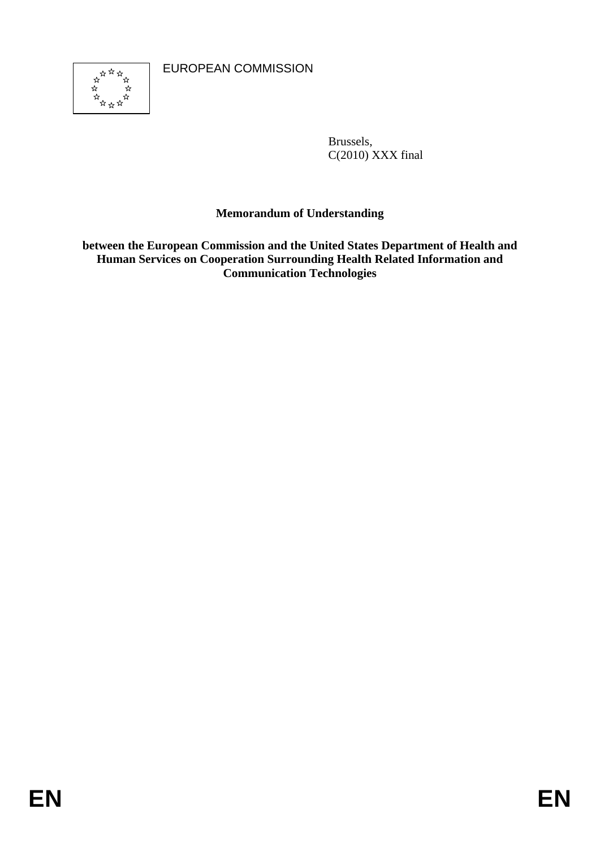EUROPEAN COMMISSION



Brussels, C(2010) XXX final

## **Memorandum of Understanding**

**between the European Commission and the United States Department of Health and Human Services on Cooperation Surrounding Health Related Information and Communication Technologies**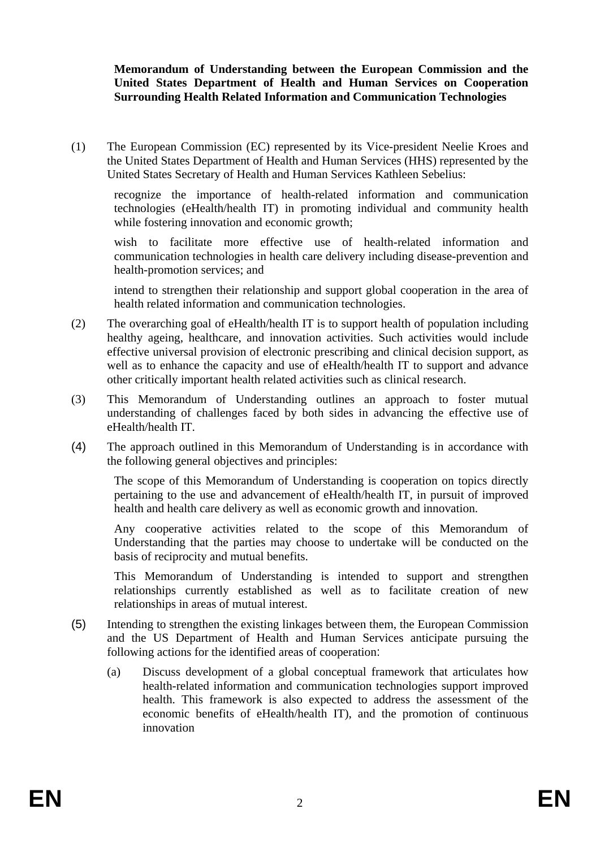## **Memorandum of Understanding between the European Commission and the United States Department of Health and Human Services on Cooperation Surrounding Health Related Information and Communication Technologies**

(1) The European Commission (EC) represented by its Vice-president Neelie Kroes and the United States Department of Health and Human Services (HHS) represented by the United States Secretary of Health and Human Services Kathleen Sebelius:

recognize the importance of health-related information and communication technologies (eHealth/health IT) in promoting individual and community health while fostering innovation and economic growth;

wish to facilitate more effective use of health-related information and communication technologies in health care delivery including disease-prevention and health-promotion services; and

intend to strengthen their relationship and support global cooperation in the area of health related information and communication technologies.

- (2) The overarching goal of eHealth/health IT is to support health of population including healthy ageing, healthcare, and innovation activities. Such activities would include effective universal provision of electronic prescribing and clinical decision support, as well as to enhance the capacity and use of eHealth/health IT to support and advance other critically important health related activities such as clinical research.
- (3) This Memorandum of Understanding outlines an approach to foster mutual understanding of challenges faced by both sides in advancing the effective use of eHealth/health IT.
- (4) The approach outlined in this Memorandum of Understanding is in accordance with the following general objectives and principles:

The scope of this Memorandum of Understanding is cooperation on topics directly pertaining to the use and advancement of eHealth/health IT, in pursuit of improved health and health care delivery as well as economic growth and innovation.

Any cooperative activities related to the scope of this Memorandum of Understanding that the parties may choose to undertake will be conducted on the basis of reciprocity and mutual benefits.

This Memorandum of Understanding is intended to support and strengthen relationships currently established as well as to facilitate creation of new relationships in areas of mutual interest.

- (5) Intending to strengthen the existing linkages between them, the European Commission and the US Department of Health and Human Services anticipate pursuing the following actions for the identified areas of cooperation:
	- (a) Discuss development of a global conceptual framework that articulates how health-related information and communication technologies support improved health. This framework is also expected to address the assessment of the economic benefits of eHealth/health IT), and the promotion of continuous innovation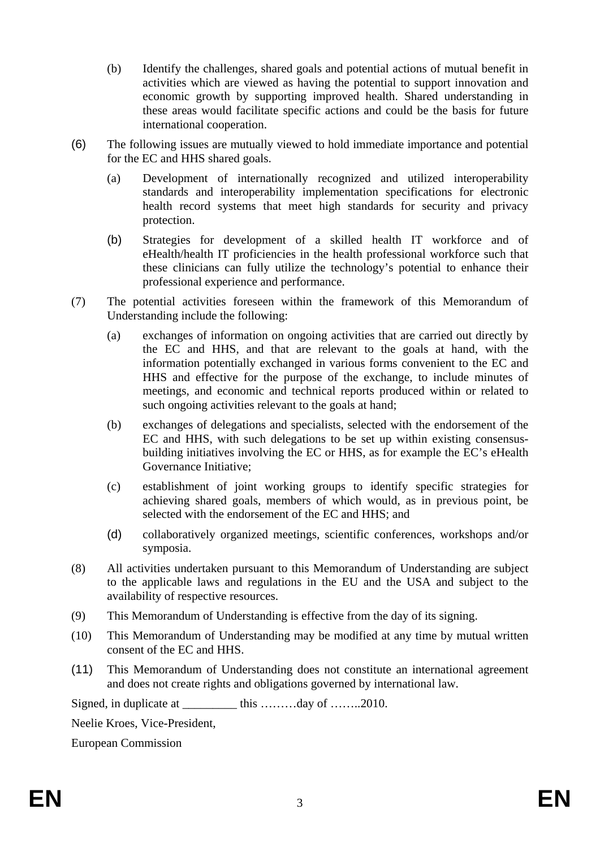- (b) Identify the challenges, shared goals and potential actions of mutual benefit in activities which are viewed as having the potential to support innovation and economic growth by supporting improved health. Shared understanding in these areas would facilitate specific actions and could be the basis for future international cooperation.
- (6) The following issues are mutually viewed to hold immediate importance and potential for the EC and HHS shared goals.
	- (a) Development of internationally recognized and utilized interoperability standards and interoperability implementation specifications for electronic health record systems that meet high standards for security and privacy protection.
	- (b) Strategies for development of a skilled health IT workforce and of eHealth/health IT proficiencies in the health professional workforce such that these clinicians can fully utilize the technology's potential to enhance their professional experience and performance.
- (7) The potential activities foreseen within the framework of this Memorandum of Understanding include the following:
	- (a) exchanges of information on ongoing activities that are carried out directly by the EC and HHS, and that are relevant to the goals at hand, with the information potentially exchanged in various forms convenient to the EC and HHS and effective for the purpose of the exchange, to include minutes of meetings, and economic and technical reports produced within or related to such ongoing activities relevant to the goals at hand;
	- (b) exchanges of delegations and specialists, selected with the endorsement of the EC and HHS, with such delegations to be set up within existing consensusbuilding initiatives involving the EC or HHS, as for example the EC's eHealth Governance Initiative;
	- (c) establishment of joint working groups to identify specific strategies for achieving shared goals, members of which would, as in previous point, be selected with the endorsement of the EC and HHS; and
	- (d) collaboratively organized meetings, scientific conferences, workshops and/or symposia.
- (8) All activities undertaken pursuant to this Memorandum of Understanding are subject to the applicable laws and regulations in the EU and the USA and subject to the availability of respective resources.
- (9) This Memorandum of Understanding is effective from the day of its signing.
- (10) This Memorandum of Understanding may be modified at any time by mutual written consent of the EC and HHS.
- (11) This Memorandum of Understanding does not constitute an international agreement and does not create rights and obligations governed by international law.

Signed, in duplicate at \_\_\_\_\_\_\_\_\_ this ………day of ……..2010.

Neelie Kroes, Vice-President,

European Commission